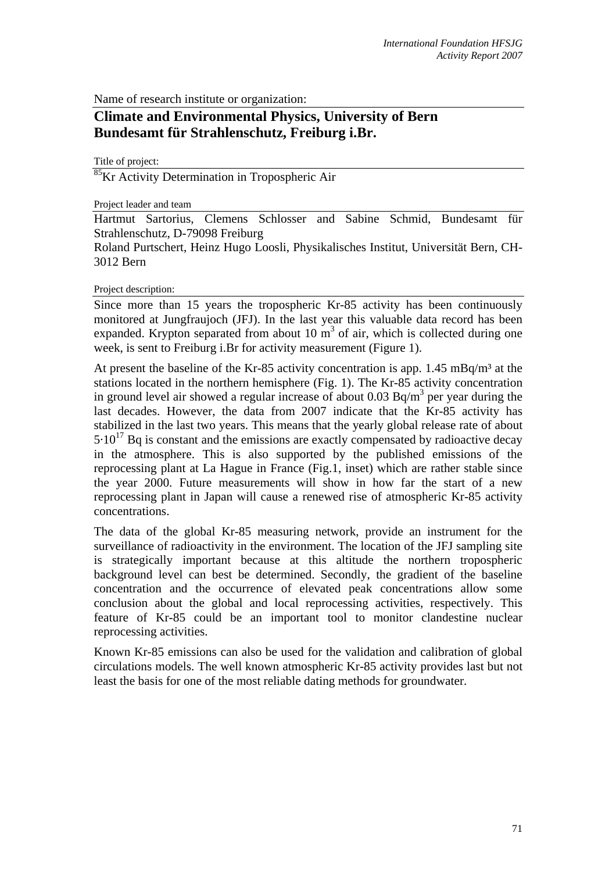Name of research institute or organization:

## **Climate and Environmental Physics, University of Bern Bundesamt für Strahlenschutz, Freiburg i.Br.**

Title of project:

 $\frac{85}{100}$  Activity Determination in Tropospheric Air

## Project leader and team

Hartmut Sartorius, Clemens Schlosser and Sabine Schmid, Bundesamt für Strahlenschutz, D-79098 Freiburg

Roland Purtschert, Heinz Hugo Loosli, Physikalisches Institut, Universität Bern, CH-3012 Bern

Project description:

Since more than 15 years the tropospheric Kr-85 activity has been continuously monitored at Jungfraujoch (JFJ). In the last year this valuable data record has been expanded. Krypton separated from about 10  $\text{m}^3$  of air, which is collected during one week, is sent to Freiburg i.Br for activity measurement (Figure 1).

At present the baseline of the Kr-85 activity concentration is app.  $1.45 \text{ mBq/m}^3$  at the stations located in the northern hemisphere (Fig. 1). The Kr-85 activity concentration in ground level air showed a regular increase of about  $0.03$  Bq/m<sup>3</sup> per year during the last decades. However, the data from 2007 indicate that the Kr-85 activity has stabilized in the last two years. This means that the yearly global release rate of about  $5\cdot10^{17}$  Bq is constant and the emissions are exactly compensated by radioactive decay in the atmosphere. This is also supported by the published emissions of the reprocessing plant at La Hague in France (Fig.1, inset) which are rather stable since the year 2000. Future measurements will show in how far the start of a new reprocessing plant in Japan will cause a renewed rise of atmospheric Kr-85 activity concentrations.

The data of the global Kr-85 measuring network, provide an instrument for the surveillance of radioactivity in the environment. The location of the JFJ sampling site is strategically important because at this altitude the northern tropospheric background level can best be determined. Secondly, the gradient of the baseline concentration and the occurrence of elevated peak concentrations allow some conclusion about the global and local reprocessing activities, respectively. This feature of Kr-85 could be an important tool to monitor clandestine nuclear reprocessing activities.

Known Kr-85 emissions can also be used for the validation and calibration of global circulations models. The well known atmospheric Kr-85 activity provides last but not least the basis for one of the most reliable dating methods for groundwater.